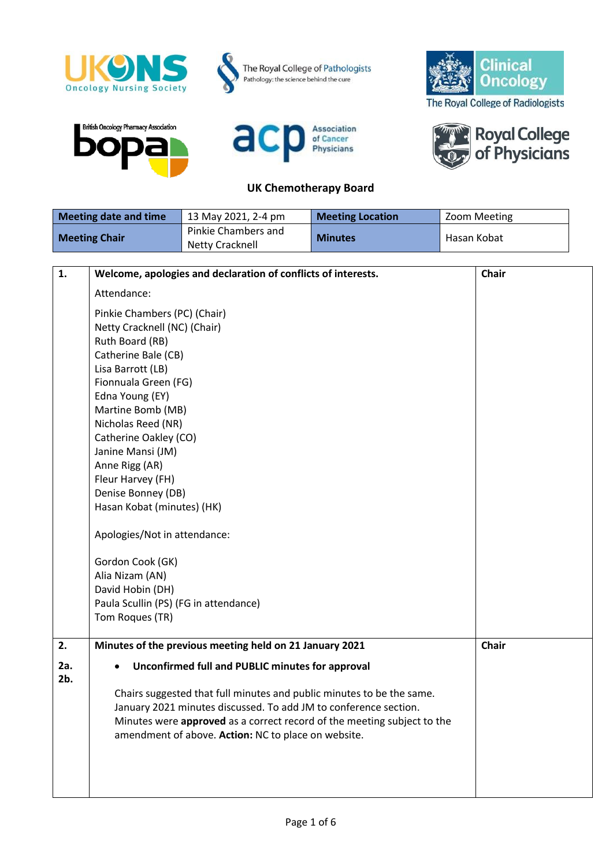









## **UK Chemotherapy Board**



| <b>Meeting date and time</b> | 13 May 2021, 2-4 pm                           | <b>Meeting Location</b> | Zoom Meeting |
|------------------------------|-----------------------------------------------|-------------------------|--------------|
| <b>Meeting Chair</b>         | Pinkie Chambers and<br><b>Netty Cracknell</b> | <b>Minutes</b>          | Hasan Kobat  |

| 1.     | Welcome, apologies and declaration of conflicts of interests.           | <b>Chair</b> |
|--------|-------------------------------------------------------------------------|--------------|
|        | Attendance:                                                             |              |
|        | Pinkie Chambers (PC) (Chair)                                            |              |
|        | Netty Cracknell (NC) (Chair)                                            |              |
|        | Ruth Board (RB)                                                         |              |
|        | Catherine Bale (CB)                                                     |              |
|        | Lisa Barrott (LB)                                                       |              |
|        | Fionnuala Green (FG)                                                    |              |
|        | Edna Young (EY)                                                         |              |
|        | Martine Bomb (MB)                                                       |              |
|        | Nicholas Reed (NR)                                                      |              |
|        | Catherine Oakley (CO)                                                   |              |
|        | Janine Mansi (JM)                                                       |              |
|        | Anne Rigg (AR)                                                          |              |
|        | Fleur Harvey (FH)                                                       |              |
|        | Denise Bonney (DB)                                                      |              |
|        | Hasan Kobat (minutes) (HK)                                              |              |
|        | Apologies/Not in attendance:                                            |              |
|        | Gordon Cook (GK)                                                        |              |
|        | Alia Nizam (AN)                                                         |              |
|        | David Hobin (DH)                                                        |              |
|        | Paula Scullin (PS) (FG in attendance)                                   |              |
|        | Tom Roques (TR)                                                         |              |
| 2.     | Minutes of the previous meeting held on 21 January 2021                 | <b>Chair</b> |
| 2a.    | Unconfirmed full and PUBLIC minutes for approval                        |              |
| $2b$ . |                                                                         |              |
|        | Chairs suggested that full minutes and public minutes to be the same.   |              |
|        | January 2021 minutes discussed. To add JM to conference section.        |              |
|        | Minutes were approved as a correct record of the meeting subject to the |              |
|        | amendment of above. Action: NC to place on website.                     |              |
|        |                                                                         |              |
|        |                                                                         |              |
|        |                                                                         |              |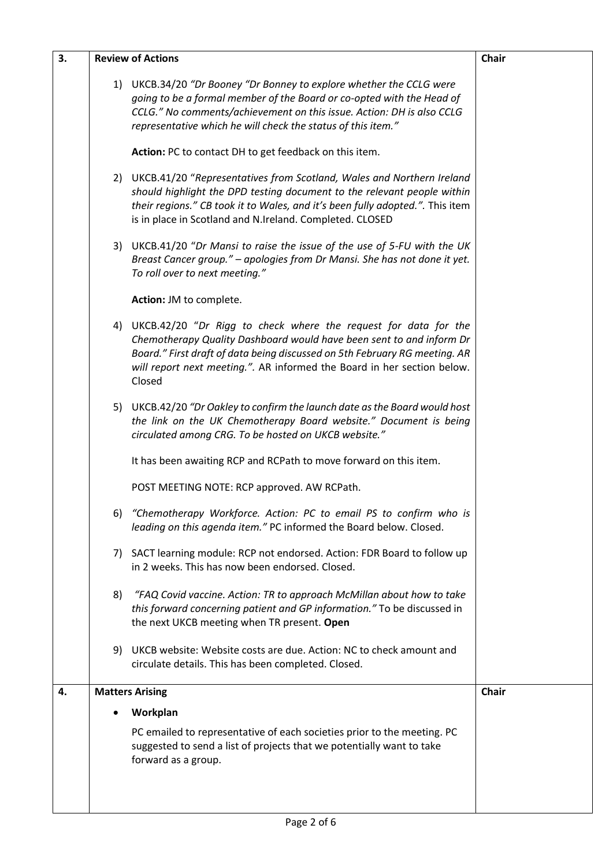| 3. | <b>Review of Actions</b>                                                                                                                                                                                                                                                                                      | <b>Chair</b> |
|----|---------------------------------------------------------------------------------------------------------------------------------------------------------------------------------------------------------------------------------------------------------------------------------------------------------------|--------------|
|    | 1) UKCB.34/20 "Dr Booney "Dr Bonney to explore whether the CCLG were<br>going to be a formal member of the Board or co-opted with the Head of<br>CCLG." No comments/achievement on this issue. Action: DH is also CCLG<br>representative which he will check the status of this item."                        |              |
|    | Action: PC to contact DH to get feedback on this item.                                                                                                                                                                                                                                                        |              |
|    | 2) UKCB.41/20 "Representatives from Scotland, Wales and Northern Ireland<br>should highlight the DPD testing document to the relevant people within<br>their regions." CB took it to Wales, and it's been fully adopted.". This item<br>is in place in Scotland and N.Ireland. Completed. CLOSED              |              |
|    | 3) UKCB.41/20 "Dr Mansi to raise the issue of the use of 5-FU with the UK<br>Breast Cancer group." - apologies from Dr Mansi. She has not done it yet.<br>To roll over to next meeting."                                                                                                                      |              |
|    | Action: JM to complete.                                                                                                                                                                                                                                                                                       |              |
|    | 4) UKCB.42/20 "Dr Rigg to check where the request for data for the<br>Chemotherapy Quality Dashboard would have been sent to and inform Dr<br>Board." First draft of data being discussed on 5th February RG meeting. AR<br>will report next meeting.". AR informed the Board in her section below.<br>Closed |              |
|    | 5) UKCB.42/20 "Dr Oakley to confirm the launch date as the Board would host<br>the link on the UK Chemotherapy Board website." Document is being<br>circulated among CRG. To be hosted on UKCB website."                                                                                                      |              |
|    | It has been awaiting RCP and RCPath to move forward on this item.                                                                                                                                                                                                                                             |              |
|    | POST MEETING NOTE: RCP approved. AW RCPath.                                                                                                                                                                                                                                                                   |              |
|    | "Chemotherapy Workforce. Action: PC to email PS to confirm who is<br>6)<br>leading on this agenda item." PC informed the Board below. Closed.                                                                                                                                                                 |              |
|    | 7) SACT learning module: RCP not endorsed. Action: FDR Board to follow up<br>in 2 weeks. This has now been endorsed. Closed.                                                                                                                                                                                  |              |
|    | "FAQ Covid vaccine. Action: TR to approach McMillan about how to take<br>8)<br>this forward concerning patient and GP information." To be discussed in<br>the next UKCB meeting when TR present. Open                                                                                                         |              |
|    | 9) UKCB website: Website costs are due. Action: NC to check amount and<br>circulate details. This has been completed. Closed.                                                                                                                                                                                 |              |
| 4. | <b>Matters Arising</b>                                                                                                                                                                                                                                                                                        | Chair        |
|    | Workplan                                                                                                                                                                                                                                                                                                      |              |
|    | PC emailed to representative of each societies prior to the meeting. PC<br>suggested to send a list of projects that we potentially want to take<br>forward as a group.                                                                                                                                       |              |
|    |                                                                                                                                                                                                                                                                                                               |              |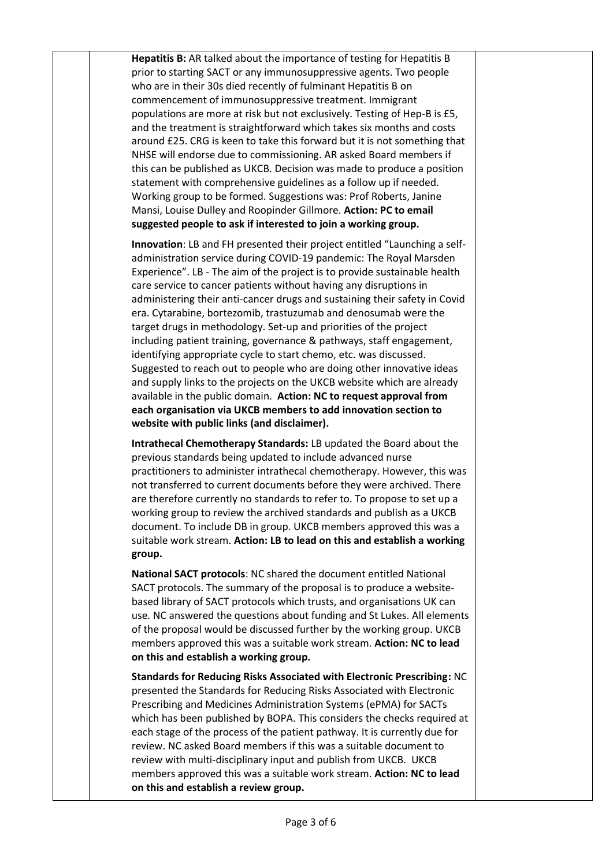**Hepatitis B:** AR talked about the importance of testing for Hepatitis B prior to starting SACT or any immunosuppressive agents. Two people who are in their 30s died recently of fulminant Hepatitis B on commencement of immunosuppressive treatment. Immigrant populations are more at risk but not exclusively. Testing of Hep-B is £5, and the treatment is straightforward which takes six months and costs around £25. CRG is keen to take this forward but it is not something that NHSE will endorse due to commissioning. AR asked Board members if this can be published as UKCB. Decision was made to produce a position statement with comprehensive guidelines as a follow up if needed. Working group to be formed. Suggestions was: Prof Roberts, Janine Mansi, Louise Dulley and Roopinder Gillmore. **Action: PC to email suggested people to ask if interested to join a working group.** 

**Innovation**: LB and FH presented their project entitled "Launching a selfadministration service during COVID-19 pandemic: The Royal Marsden Experience". LB - The aim of the project is to provide sustainable health care service to cancer patients without having any disruptions in administering their anti-cancer drugs and sustaining their safety in Covid era. Cytarabine, bortezomib, trastuzumab and denosumab were the target drugs in methodology. Set-up and priorities of the project including patient training, governance & pathways, staff engagement, identifying appropriate cycle to start chemo, etc. was discussed. Suggested to reach out to people who are doing other innovative ideas and supply links to the projects on the UKCB website which are already available in the public domain. **Action: NC to request approval from each organisation via UKCB members to add innovation section to website with public links (and disclaimer).** 

**Intrathecal Chemotherapy Standards:** LB updated the Board about the previous standards being updated to include advanced nurse practitioners to administer intrathecal chemotherapy. However, this was not transferred to current documents before they were archived. There are therefore currently no standards to refer to. To propose to set up a working group to review the archived standards and publish as a UKCB document. To include DB in group. UKCB members approved this was a suitable work stream. **Action: LB to lead on this and establish a working group.** 

**National SACT protocols**: NC shared the document entitled National SACT protocols. The summary of the proposal is to produce a websitebased library of SACT protocols which trusts, and organisations UK can use. NC answered the questions about funding and St Lukes. All elements of the proposal would be discussed further by the working group. UKCB members approved this was a suitable work stream. **Action: NC to lead on this and establish a working group.**

**Standards for Reducing Risks Associated with Electronic Prescribing:** NC presented the Standards for Reducing Risks Associated with Electronic Prescribing and Medicines Administration Systems (ePMA) for SACTs which has been published by BOPA. This considers the checks required at each stage of the process of the patient pathway. It is currently due for review. NC asked Board members if this was a suitable document to review with multi-disciplinary input and publish from UKCB. UKCB members approved this was a suitable work stream. **Action: NC to lead on this and establish a review group.**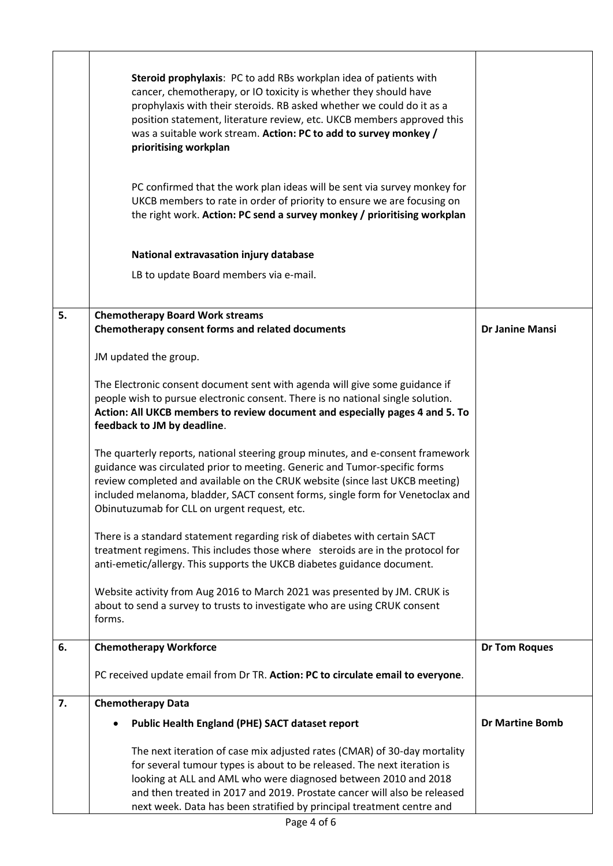|    | Steroid prophylaxis: PC to add RBs workplan idea of patients with<br>cancer, chemotherapy, or IO toxicity is whether they should have<br>prophylaxis with their steroids. RB asked whether we could do it as a<br>position statement, literature review, etc. UKCB members approved this<br>was a suitable work stream. Action: PC to add to survey monkey /<br>prioritising workplan<br>PC confirmed that the work plan ideas will be sent via survey monkey for<br>UKCB members to rate in order of priority to ensure we are focusing on<br>the right work. Action: PC send a survey monkey / prioritising workplan<br>National extravasation injury database<br>LB to update Board members via e-mail. |                        |
|----|------------------------------------------------------------------------------------------------------------------------------------------------------------------------------------------------------------------------------------------------------------------------------------------------------------------------------------------------------------------------------------------------------------------------------------------------------------------------------------------------------------------------------------------------------------------------------------------------------------------------------------------------------------------------------------------------------------|------------------------|
| 5. | <b>Chemotherapy Board Work streams</b><br>Chemotherapy consent forms and related documents                                                                                                                                                                                                                                                                                                                                                                                                                                                                                                                                                                                                                 | <b>Dr Janine Mansi</b> |
|    | JM updated the group.                                                                                                                                                                                                                                                                                                                                                                                                                                                                                                                                                                                                                                                                                      |                        |
|    | The Electronic consent document sent with agenda will give some guidance if<br>people wish to pursue electronic consent. There is no national single solution.<br>Action: All UKCB members to review document and especially pages 4 and 5. To<br>feedback to JM by deadline.                                                                                                                                                                                                                                                                                                                                                                                                                              |                        |
|    | The quarterly reports, national steering group minutes, and e-consent framework<br>guidance was circulated prior to meeting. Generic and Tumor-specific forms<br>review completed and available on the CRUK website (since last UKCB meeting)<br>included melanoma, bladder, SACT consent forms, single form for Venetoclax and<br>Obinutuzumab for CLL on urgent request, etc.                                                                                                                                                                                                                                                                                                                            |                        |
|    | There is a standard statement regarding risk of diabetes with certain SACT<br>treatment regimens. This includes those where steroids are in the protocol for<br>anti-emetic/allergy. This supports the UKCB diabetes guidance document.                                                                                                                                                                                                                                                                                                                                                                                                                                                                    |                        |
|    | Website activity from Aug 2016 to March 2021 was presented by JM. CRUK is<br>about to send a survey to trusts to investigate who are using CRUK consent<br>forms.                                                                                                                                                                                                                                                                                                                                                                                                                                                                                                                                          |                        |
| 6. | <b>Chemotherapy Workforce</b>                                                                                                                                                                                                                                                                                                                                                                                                                                                                                                                                                                                                                                                                              | <b>Dr Tom Roques</b>   |
|    | PC received update email from Dr TR. Action: PC to circulate email to everyone.                                                                                                                                                                                                                                                                                                                                                                                                                                                                                                                                                                                                                            |                        |
| 7. | <b>Chemotherapy Data</b>                                                                                                                                                                                                                                                                                                                                                                                                                                                                                                                                                                                                                                                                                   |                        |
|    | <b>Public Health England (PHE) SACT dataset report</b>                                                                                                                                                                                                                                                                                                                                                                                                                                                                                                                                                                                                                                                     | <b>Dr Martine Bomb</b> |
|    | The next iteration of case mix adjusted rates (CMAR) of 30-day mortality<br>for several tumour types is about to be released. The next iteration is<br>looking at ALL and AML who were diagnosed between 2010 and 2018<br>and then treated in 2017 and 2019. Prostate cancer will also be released<br>next week. Data has been stratified by principal treatment centre and                                                                                                                                                                                                                                                                                                                                |                        |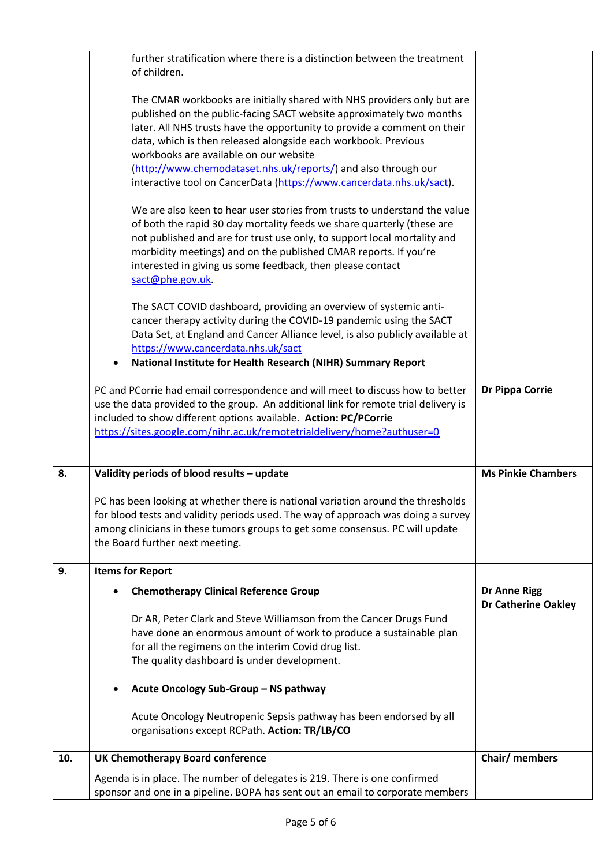|     | further stratification where there is a distinction between the treatment<br>of children.                                                                                                                                                                                                                                                                                             |                                                   |
|-----|---------------------------------------------------------------------------------------------------------------------------------------------------------------------------------------------------------------------------------------------------------------------------------------------------------------------------------------------------------------------------------------|---------------------------------------------------|
|     | The CMAR workbooks are initially shared with NHS providers only but are<br>published on the public-facing SACT website approximately two months<br>later. All NHS trusts have the opportunity to provide a comment on their<br>data, which is then released alongside each workbook. Previous<br>workbooks are available on our website                                               |                                                   |
|     | (http://www.chemodataset.nhs.uk/reports/) and also through our<br>interactive tool on CancerData (https://www.cancerdata.nhs.uk/sact).                                                                                                                                                                                                                                                |                                                   |
|     | We are also keen to hear user stories from trusts to understand the value<br>of both the rapid 30 day mortality feeds we share quarterly (these are<br>not published and are for trust use only, to support local mortality and<br>morbidity meetings) and on the published CMAR reports. If you're<br>interested in giving us some feedback, then please contact<br>sact@phe.gov.uk. |                                                   |
|     | The SACT COVID dashboard, providing an overview of systemic anti-<br>cancer therapy activity during the COVID-19 pandemic using the SACT<br>Data Set, at England and Cancer Alliance level, is also publicly available at<br>https://www.cancerdata.nhs.uk/sact<br>National Institute for Health Research (NIHR) Summary Report                                                       |                                                   |
|     | PC and PCorrie had email correspondence and will meet to discuss how to better<br>use the data provided to the group. An additional link for remote trial delivery is<br>included to show different options available. Action: PC/PCorrie<br>https://sites.google.com/nihr.ac.uk/remotetrialdelivery/home?authuser=0                                                                  | <b>Dr Pippa Corrie</b>                            |
| 8.  | Validity periods of blood results - update                                                                                                                                                                                                                                                                                                                                            | <b>Ms Pinkie Chambers</b>                         |
|     | PC has been looking at whether there is national variation around the thresholds<br>for blood tests and validity periods used. The way of approach was doing a survey<br>among clinicians in these tumors groups to get some consensus. PC will update<br>the Board further next meeting.                                                                                             |                                                   |
| 9.  | <b>Items for Report</b>                                                                                                                                                                                                                                                                                                                                                               |                                                   |
|     | <b>Chemotherapy Clinical Reference Group</b>                                                                                                                                                                                                                                                                                                                                          | <b>Dr Anne Rigg</b><br><b>Dr Catherine Oakley</b> |
|     | Dr AR, Peter Clark and Steve Williamson from the Cancer Drugs Fund<br>have done an enormous amount of work to produce a sustainable plan<br>for all the regimens on the interim Covid drug list.<br>The quality dashboard is under development.                                                                                                                                       |                                                   |
|     | Acute Oncology Sub-Group - NS pathway                                                                                                                                                                                                                                                                                                                                                 |                                                   |
|     | Acute Oncology Neutropenic Sepsis pathway has been endorsed by all<br>organisations except RCPath. Action: TR/LB/CO                                                                                                                                                                                                                                                                   |                                                   |
| 10. | <b>UK Chemotherapy Board conference</b>                                                                                                                                                                                                                                                                                                                                               | Chair/ members                                    |
|     | Agenda is in place. The number of delegates is 219. There is one confirmed<br>sponsor and one in a pipeline. BOPA has sent out an email to corporate members                                                                                                                                                                                                                          |                                                   |